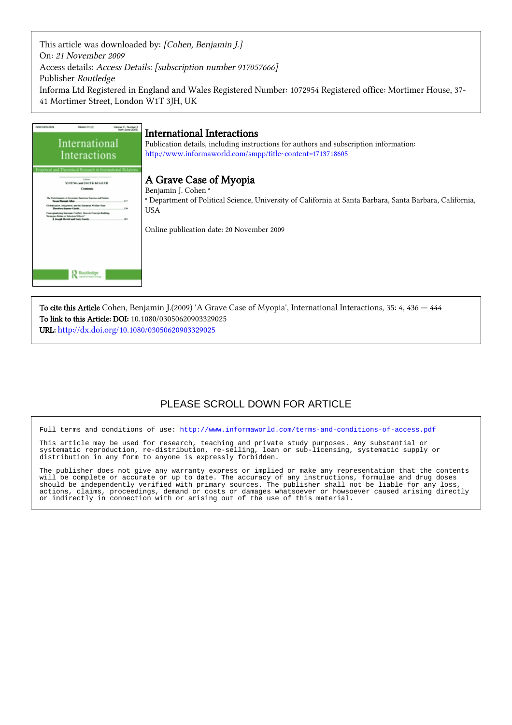This article was downloaded by: [Cohen, Benjamin J.] On: 21 November 2009 Access details: Access Details: [subscription number 917057666] Publisher Routledge Informa Ltd Registered in England and Wales Registered Number: 1072954 Registered office: Mortimer House, 37- 41 Mortimer Street, London W1T 3JH, UK



To cite this Article Cohen, Benjamin J.(2009) 'A Grave Case of Myopia', International Interactions, 35: 4, 436 — 444 To link to this Article: DOI: 10.1080/03050620903329025 URL: <http://dx.doi.org/10.1080/03050620903329025>

# PLEASE SCROLL DOWN FOR ARTICLE

Full terms and conditions of use:<http://www.informaworld.com/terms-and-conditions-of-access.pdf>

This article may be used for research, teaching and private study purposes. Any substantial or systematic reproduction, re-distribution, re-selling, loan or sub-licensing, systematic supply or systematic reproduction, re-distribution, re-selling, loan or sub-licensing, systematic supply or distribution in any form to anyone is expressly forbidden.

The publisher does not give any warranty express or implied or make any representation that the contents will be complete or accurate or up to date. The accuracy of any instructions, formulae and drug doses should be independently verified with primary sources. The publisher shall not be liable for any loss, actions, claims, proceedings, demand or costs or damages whatsoever or howsoever caused arising directly or indirectly in connection with or arising out of the use of this material.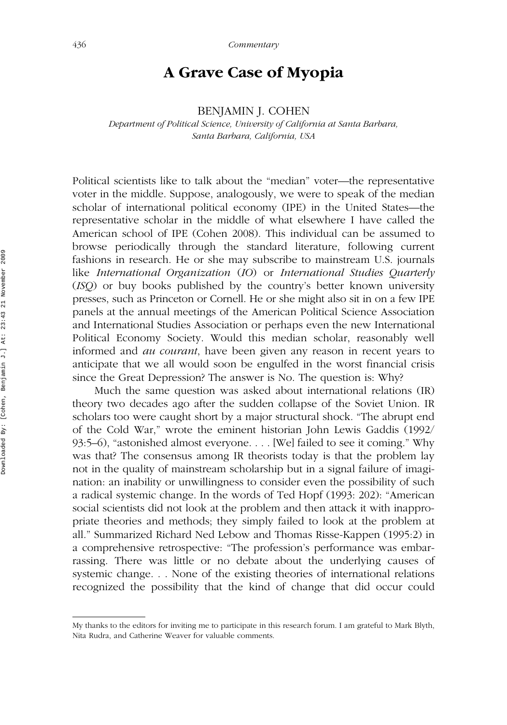# **A Grave Case of Myopia**

BENJAMIN J. COHEN

*Department of Political Science, University of California at Santa Barbara, Santa Barbara, California, USA*

Political scientists like to talk about the "median" voter—the representative voter in the middle. Suppose, analogously, we were to speak of the median scholar of international political economy (IPE) in the United States—the representative scholar in the middle of what elsewhere I have called the American school of IPE (Cohen 2008). This individual can be assumed to browse periodically through the standard literature, following current fashions in research. He or she may subscribe to mainstream U.S. journals like *International Organization* (*IO*) or *International Studies Quarterly* (*ISQ*) or buy books published by the country's better known university presses, such as Princeton or Cornell. He or she might also sit in on a few IPE panels at the annual meetings of the American Political Science Association and International Studies Association or perhaps even the new International Political Economy Society. Would this median scholar, reasonably well informed and *au courant*, have been given any reason in recent years to anticipate that we all would soon be engulfed in the worst financial crisis since the Great Depression? The answer is No. The question is: Why?

Much the same question was asked about international relations (IR) theory two decades ago after the sudden collapse of the Soviet Union. IR scholars too were caught short by a major structural shock. "The abrupt end of the Cold War," wrote the eminent historian John Lewis Gaddis (1992/ 93:5–6), "astonished almost everyone. . . . [We] failed to see it coming." Why was that? The consensus among IR theorists today is that the problem lay not in the quality of mainstream scholarship but in a signal failure of imagination: an inability or unwillingness to consider even the possibility of such a radical systemic change. In the words of Ted Hopf (1993: 202): "American social scientists did not look at the problem and then attack it with inappropriate theories and methods; they simply failed to look at the problem at all." Summarized Richard Ned Lebow and Thomas Risse-Kappen (1995:2) in a comprehensive retrospective: "The profession's performance was embarrassing. There was little or no debate about the underlying causes of systemic change. . . None of the existing theories of international relations recognized the possibility that the kind of change that did occur could

My thanks to the editors for inviting me to participate in this research forum. I am grateful to Mark Blyth, Nita Rudra, and Catherine Weaver for valuable comments.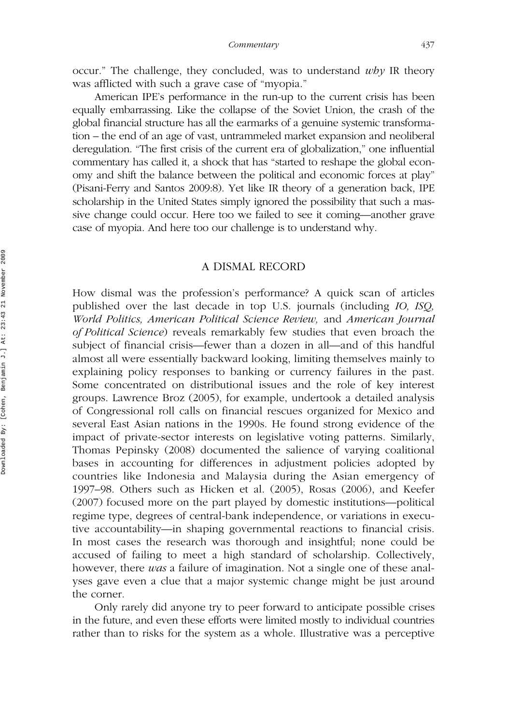occur." The challenge, they concluded, was to understand *why* IR theory was afflicted with such a grave case of "myopia."

American IPE's performance in the run-up to the current crisis has been equally embarrassing. Like the collapse of the Soviet Union, the crash of the global financial structure has all the earmarks of a genuine systemic transformation – the end of an age of vast, untrammeled market expansion and neoliberal deregulation. "The first crisis of the current era of globalization," one influential commentary has called it, a shock that has "started to reshape the global economy and shift the balance between the political and economic forces at play" (Pisani-Ferry and Santos 2009:8). Yet like IR theory of a generation back, IPE scholarship in the United States simply ignored the possibility that such a massive change could occur. Here too we failed to see it coming—another grave case of myopia. And here too our challenge is to understand why.

#### A DISMAL RECORD

How dismal was the profession's performance? A quick scan of articles published over the last decade in top U.S. journals (including *IO, ISQ, World Politics, American Political Science Review,* and *American Journal of Political Science*) reveals remarkably few studies that even broach the subject of financial crisis—fewer than a dozen in all—and of this handful almost all were essentially backward looking, limiting themselves mainly to explaining policy responses to banking or currency failures in the past. Some concentrated on distributional issues and the role of key interest groups. Lawrence Broz (2005), for example, undertook a detailed analysis of Congressional roll calls on financial rescues organized for Mexico and several East Asian nations in the 1990s. He found strong evidence of the impact of private-sector interests on legislative voting patterns. Similarly, Thomas Pepinsky (2008) documented the salience of varying coalitional bases in accounting for differences in adjustment policies adopted by countries like Indonesia and Malaysia during the Asian emergency of 1997–98. Others such as Hicken et al. (2005), Rosas (2006), and Keefer (2007) focused more on the part played by domestic institutions—political regime type, degrees of central-bank independence, or variations in executive accountability—in shaping governmental reactions to financial crisis. In most cases the research was thorough and insightful; none could be accused of failing to meet a high standard of scholarship. Collectively, however, there *was* a failure of imagination. Not a single one of these analyses gave even a clue that a major systemic change might be just around the corner.

Only rarely did anyone try to peer forward to anticipate possible crises in the future, and even these efforts were limited mostly to individual countries rather than to risks for the system as a whole. Illustrative was a perceptive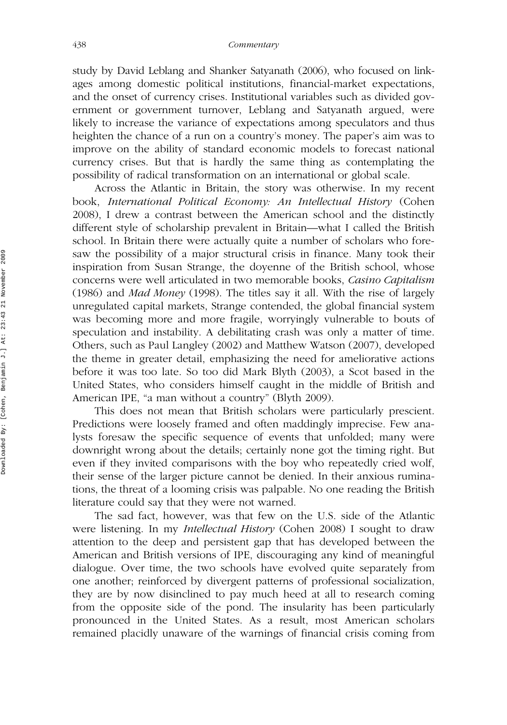study by David Leblang and Shanker Satyanath (2006), who focused on linkages among domestic political institutions, financial-market expectations, and the onset of currency crises. Institutional variables such as divided government or government turnover, Leblang and Satyanath argued, were likely to increase the variance of expectations among speculators and thus heighten the chance of a run on a country's money. The paper's aim was to improve on the ability of standard economic models to forecast national currency crises. But that is hardly the same thing as contemplating the possibility of radical transformation on an international or global scale.

Across the Atlantic in Britain, the story was otherwise. In my recent book, *International Political Economy: An Intellectual History* (Cohen 2008), I drew a contrast between the American school and the distinctly different style of scholarship prevalent in Britain—what I called the British school. In Britain there were actually quite a number of scholars who foresaw the possibility of a major structural crisis in finance. Many took their inspiration from Susan Strange, the doyenne of the British school, whose concerns were well articulated in two memorable books, *Casino Capitalism* (1986) and *Mad Money* (1998). The titles say it all. With the rise of largely unregulated capital markets, Strange contended, the global financial system was becoming more and more fragile, worryingly vulnerable to bouts of speculation and instability. A debilitating crash was only a matter of time. Others, such as Paul Langley (2002) and Matthew Watson (2007), developed the theme in greater detail, emphasizing the need for ameliorative actions before it was too late. So too did Mark Blyth (2003), a Scot based in the United States, who considers himself caught in the middle of British and American IPE, "a man without a country" (Blyth 2009).

This does not mean that British scholars were particularly prescient. Predictions were loosely framed and often maddingly imprecise. Few analysts foresaw the specific sequence of events that unfolded; many were downright wrong about the details; certainly none got the timing right. But even if they invited comparisons with the boy who repeatedly cried wolf, their sense of the larger picture cannot be denied. In their anxious ruminations, the threat of a looming crisis was palpable. No one reading the British literature could say that they were not warned.

The sad fact, however, was that few on the U.S. side of the Atlantic were listening. In my *Intellectual History* (Cohen 2008) I sought to draw attention to the deep and persistent gap that has developed between the American and British versions of IPE, discouraging any kind of meaningful dialogue. Over time, the two schools have evolved quite separately from one another; reinforced by divergent patterns of professional socialization, they are by now disinclined to pay much heed at all to research coming from the opposite side of the pond. The insularity has been particularly pronounced in the United States. As a result, most American scholars remained placidly unaware of the warnings of financial crisis coming from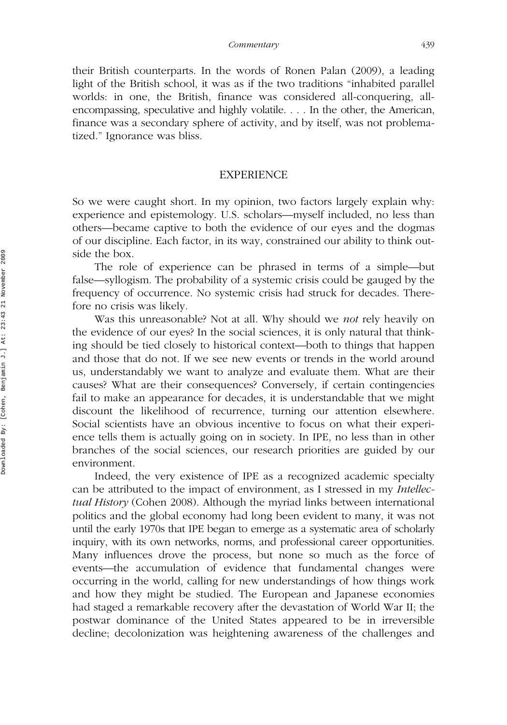*Commentary* 439

their British counterparts. In the words of Ronen Palan (2009), a leading light of the British school, it was as if the two traditions "inhabited parallel worlds: in one, the British, finance was considered all-conquering, allencompassing, speculative and highly volatile. . . . In the other, the American, finance was a secondary sphere of activity, and by itself, was not problematized." Ignorance was bliss.

### EXPERIENCE

So we were caught short. In my opinion, two factors largely explain why: experience and epistemology. U.S. scholars—myself included, no less than others—became captive to both the evidence of our eyes and the dogmas of our discipline. Each factor, in its way, constrained our ability to think outside the box.

The role of experience can be phrased in terms of a simple—but false—syllogism. The probability of a systemic crisis could be gauged by the frequency of occurrence. No systemic crisis had struck for decades. Therefore no crisis was likely.

Was this unreasonable? Not at all. Why should we *not* rely heavily on the evidence of our eyes? In the social sciences, it is only natural that thinking should be tied closely to historical context—both to things that happen and those that do not. If we see new events or trends in the world around us, understandably we want to analyze and evaluate them. What are their causes? What are their consequences? Conversely, if certain contingencies fail to make an appearance for decades, it is understandable that we might discount the likelihood of recurrence, turning our attention elsewhere. Social scientists have an obvious incentive to focus on what their experience tells them is actually going on in society. In IPE, no less than in other branches of the social sciences, our research priorities are guided by our environment.

Indeed, the very existence of IPE as a recognized academic specialty can be attributed to the impact of environment, as I stressed in my *Intellectual History* (Cohen 2008). Although the myriad links between international politics and the global economy had long been evident to many, it was not until the early 1970s that IPE began to emerge as a systematic area of scholarly inquiry, with its own networks, norms, and professional career opportunities. Many influences drove the process, but none so much as the force of events—the accumulation of evidence that fundamental changes were occurring in the world, calling for new understandings of how things work and how they might be studied. The European and Japanese economies had staged a remarkable recovery after the devastation of World War II; the postwar dominance of the United States appeared to be in irreversible decline; decolonization was heightening awareness of the challenges and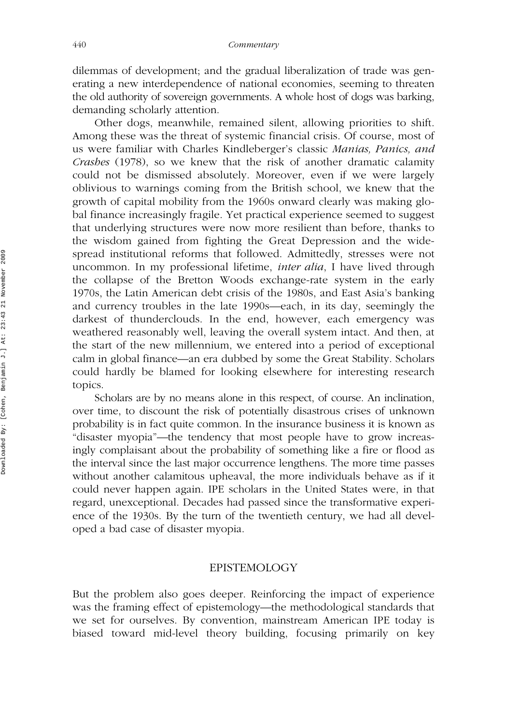dilemmas of development; and the gradual liberalization of trade was generating a new interdependence of national economies, seeming to threaten the old authority of sovereign governments. A whole host of dogs was barking, demanding scholarly attention.

Other dogs, meanwhile, remained silent, allowing priorities to shift. Among these was the threat of systemic financial crisis. Of course, most of us were familiar with Charles Kindleberger's classic *Manias, Panics, and Crashes* (1978), so we knew that the risk of another dramatic calamity could not be dismissed absolutely. Moreover, even if we were largely oblivious to warnings coming from the British school, we knew that the growth of capital mobility from the 1960s onward clearly was making global finance increasingly fragile. Yet practical experience seemed to suggest that underlying structures were now more resilient than before, thanks to the wisdom gained from fighting the Great Depression and the widespread institutional reforms that followed. Admittedly, stresses were not uncommon. In my professional lifetime, *inter alia*, I have lived through the collapse of the Bretton Woods exchange-rate system in the early 1970s, the Latin American debt crisis of the 1980s, and East Asia's banking and currency troubles in the late 1990s—each, in its day, seemingly the darkest of thunderclouds. In the end, however, each emergency was weathered reasonably well, leaving the overall system intact. And then, at the start of the new millennium, we entered into a period of exceptional calm in global finance—an era dubbed by some the Great Stability. Scholars could hardly be blamed for looking elsewhere for interesting research topics.

Scholars are by no means alone in this respect, of course. An inclination, over time, to discount the risk of potentially disastrous crises of unknown probability is in fact quite common. In the insurance business it is known as "disaster myopia"—the tendency that most people have to grow increasingly complaisant about the probability of something like a fire or flood as the interval since the last major occurrence lengthens. The more time passes without another calamitous upheaval, the more individuals behave as if it could never happen again. IPE scholars in the United States were, in that regard, unexceptional. Decades had passed since the transformative experience of the 1930s. By the turn of the twentieth century, we had all developed a bad case of disaster myopia.

#### EPISTEMOLOGY

But the problem also goes deeper. Reinforcing the impact of experience was the framing effect of epistemology—the methodological standards that we set for ourselves. By convention, mainstream American IPE today is biased toward mid-level theory building, focusing primarily on key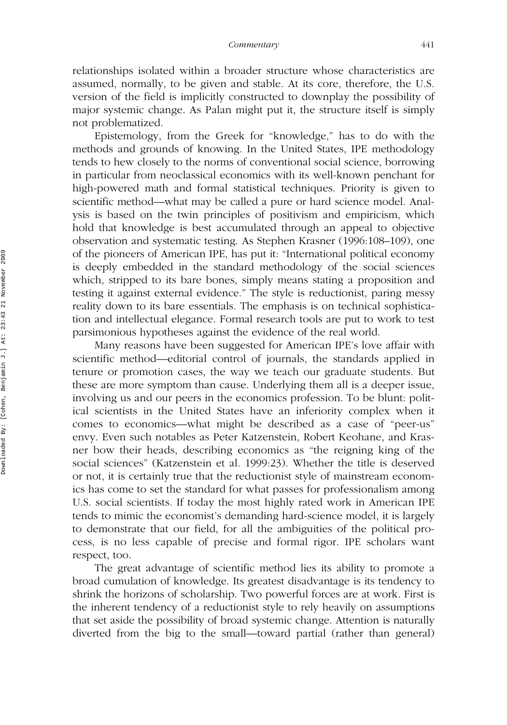relationships isolated within a broader structure whose characteristics are assumed, normally, to be given and stable. At its core, therefore, the U.S. version of the field is implicitly constructed to downplay the possibility of major systemic change. As Palan might put it, the structure itself is simply not problematized.

Epistemology, from the Greek for "knowledge," has to do with the methods and grounds of knowing. In the United States, IPE methodology tends to hew closely to the norms of conventional social science, borrowing in particular from neoclassical economics with its well-known penchant for high-powered math and formal statistical techniques. Priority is given to scientific method—what may be called a pure or hard science model. Analysis is based on the twin principles of positivism and empiricism, which hold that knowledge is best accumulated through an appeal to objective observation and systematic testing. As Stephen Krasner (1996:108–109), one of the pioneers of American IPE, has put it: "International political economy is deeply embedded in the standard methodology of the social sciences which, stripped to its bare bones, simply means stating a proposition and testing it against external evidence." The style is reductionist, paring messy reality down to its bare essentials. The emphasis is on technical sophistication and intellectual elegance. Formal research tools are put to work to test parsimonious hypotheses against the evidence of the real world.

Many reasons have been suggested for American IPE's love affair with scientific method—editorial control of journals, the standards applied in tenure or promotion cases, the way we teach our graduate students. But these are more symptom than cause. Underlying them all is a deeper issue, involving us and our peers in the economics profession. To be blunt: political scientists in the United States have an inferiority complex when it comes to economics—what might be described as a case of "peer-us" envy. Even such notables as Peter Katzenstein, Robert Keohane, and Krasner bow their heads, describing economics as "the reigning king of the social sciences" (Katzenstein et al. 1999:23). Whether the title is deserved or not, it is certainly true that the reductionist style of mainstream economics has come to set the standard for what passes for professionalism among U.S. social scientists. If today the most highly rated work in American IPE tends to mimic the economist's demanding hard-science model, it is largely to demonstrate that our field, for all the ambiguities of the political process, is no less capable of precise and formal rigor. IPE scholars want respect, too.

The great advantage of scientific method lies its ability to promote a broad cumulation of knowledge. Its greatest disadvantage is its tendency to shrink the horizons of scholarship. Two powerful forces are at work. First is the inherent tendency of a reductionist style to rely heavily on assumptions that set aside the possibility of broad systemic change. Attention is naturally diverted from the big to the small—toward partial (rather than general)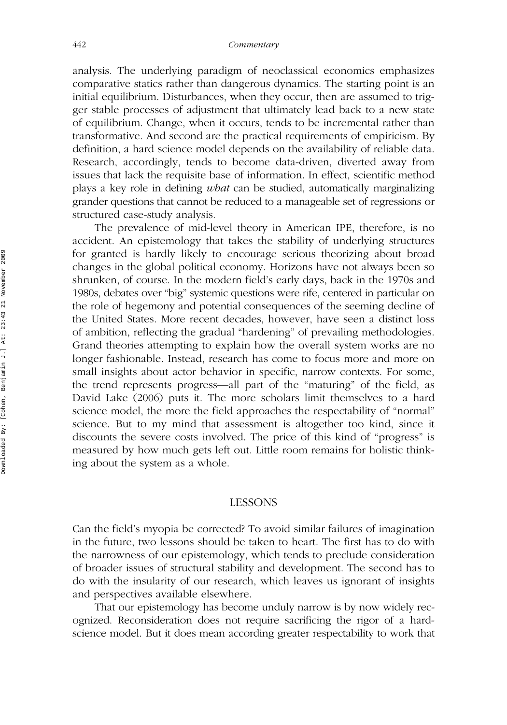analysis. The underlying paradigm of neoclassical economics emphasizes comparative statics rather than dangerous dynamics. The starting point is an initial equilibrium. Disturbances, when they occur, then are assumed to trigger stable processes of adjustment that ultimately lead back to a new state of equilibrium. Change, when it occurs, tends to be incremental rather than transformative. And second are the practical requirements of empiricism. By definition, a hard science model depends on the availability of reliable data. Research, accordingly, tends to become data-driven, diverted away from issues that lack the requisite base of information. In effect, scientific method plays a key role in defining *what* can be studied, automatically marginalizing grander questions that cannot be reduced to a manageable set of regressions or structured case-study analysis.

The prevalence of mid-level theory in American IPE, therefore, is no accident. An epistemology that takes the stability of underlying structures for granted is hardly likely to encourage serious theorizing about broad changes in the global political economy. Horizons have not always been so shrunken, of course. In the modern field's early days, back in the 1970s and 1980s, debates over "big" systemic questions were rife, centered in particular on the role of hegemony and potential consequences of the seeming decline of the United States. More recent decades, however, have seen a distinct loss of ambition, reflecting the gradual "hardening" of prevailing methodologies. Grand theories attempting to explain how the overall system works are no longer fashionable. Instead, research has come to focus more and more on small insights about actor behavior in specific, narrow contexts. For some, the trend represents progress—all part of the "maturing" of the field, as David Lake (2006) puts it. The more scholars limit themselves to a hard science model, the more the field approaches the respectability of "normal" science. But to my mind that assessment is altogether too kind, since it discounts the severe costs involved. The price of this kind of "progress" is measured by how much gets left out. Little room remains for holistic thinking about the system as a whole.

#### LESSONS

Can the field's myopia be corrected? To avoid similar failures of imagination in the future, two lessons should be taken to heart. The first has to do with the narrowness of our epistemology, which tends to preclude consideration of broader issues of structural stability and development. The second has to do with the insularity of our research, which leaves us ignorant of insights and perspectives available elsewhere.

That our epistemology has become unduly narrow is by now widely recognized. Reconsideration does not require sacrificing the rigor of a hardscience model. But it does mean according greater respectability to work that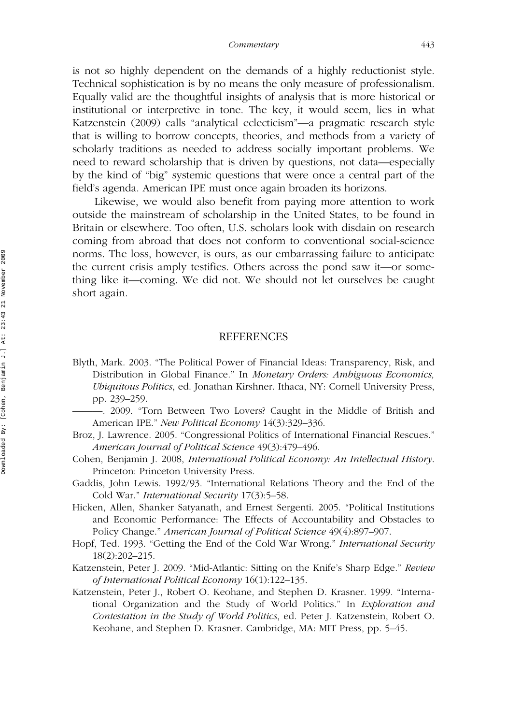is not so highly dependent on the demands of a highly reductionist style. Technical sophistication is by no means the only measure of professionalism. Equally valid are the thoughtful insights of analysis that is more historical or institutional or interpretive in tone. The key, it would seem, lies in what Katzenstein (2009) calls "analytical eclecticism"—a pragmatic research style that is willing to borrow concepts, theories, and methods from a variety of scholarly traditions as needed to address socially important problems. We need to reward scholarship that is driven by questions, not data—especially by the kind of "big" systemic questions that were once a central part of the field's agenda. American IPE must once again broaden its horizons.

Likewise, we would also benefit from paying more attention to work outside the mainstream of scholarship in the United States, to be found in Britain or elsewhere. Too often, U.S. scholars look with disdain on research coming from abroad that does not conform to conventional social-science norms. The loss, however, is ours, as our embarrassing failure to anticipate the current crisis amply testifies. Others across the pond saw it—or something like it—coming. We did not. We should not let ourselves be caught short again.

## REFERENCES

- Blyth, Mark. 2003. "The Political Power of Financial Ideas: Transparency, Risk, and Distribution in Global Finance." In *Monetary Orders: Ambiguous Economics, Ubiquitous Politics*, ed. Jonathan Kirshner. Ithaca, NY: Cornell University Press, pp. 239–259.
- ———. 2009. "Torn Between Two Lovers? Caught in the Middle of British and American IPE." *New Political Economy* 14(3):329–336.
- Broz, J. Lawrence. 2005. "Congressional Politics of International Financial Rescues." *American Journal of Political Science* 49(3):479–496.
- Cohen, Benjamin J. 2008, *International Political Economy: An Intellectual History*. Princeton: Princeton University Press.
- Gaddis, John Lewis. 1992/93. "International Relations Theory and the End of the Cold War." *International Security* 17(3):5–58.
- Hicken, Allen, Shanker Satyanath, and Ernest Sergenti. 2005. "Political Institutions and Economic Performance: The Effects of Accountability and Obstacles to Policy Change." *American Journal of Political Science* 49(4):897–907.
- Hopf, Ted. 1993. "Getting the End of the Cold War Wrong." *International Security* 18(2):202–215.
- Katzenstein, Peter J. 2009. "Mid-Atlantic: Sitting on the Knife's Sharp Edge." *Review of International Political Economy* 16(1):122–135.
- Katzenstein, Peter J., Robert O. Keohane, and Stephen D. Krasner. 1999. "International Organization and the Study of World Politics." In *Exploration and Contestation in the Study of World Politics*, ed. Peter J. Katzenstein, Robert O. Keohane, and Stephen D. Krasner. Cambridge, MA: MIT Press, pp. 5–45.